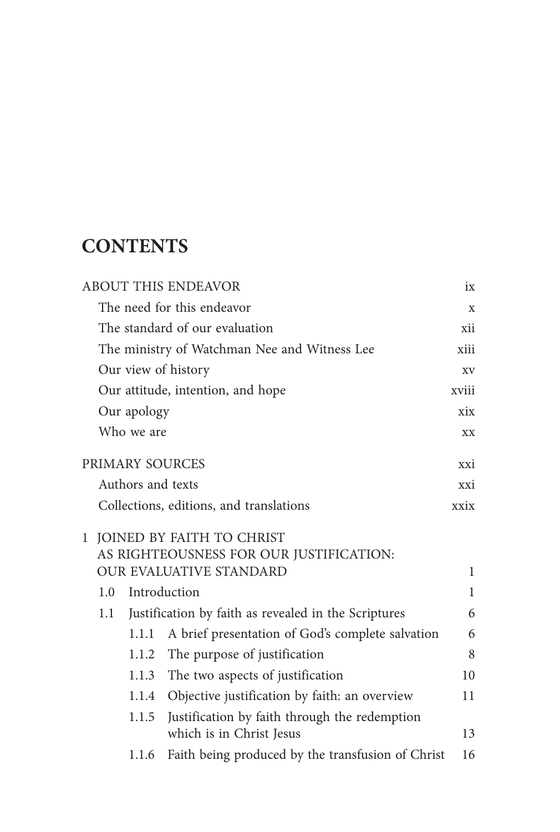## **CONTENTS**

|                                   |                   | <b>ABOUT THIS ENDEAVOR</b>                                                | ix           |
|-----------------------------------|-------------------|---------------------------------------------------------------------------|--------------|
|                                   |                   | The need for this endeavor                                                | X            |
|                                   |                   | The standard of our evaluation                                            | xii          |
|                                   |                   | The ministry of Watchman Nee and Witness Lee                              | xiii         |
|                                   |                   | Our view of history                                                       | XV           |
| Our attitude, intention, and hope |                   |                                                                           | xviii        |
| Our apology                       |                   |                                                                           | xix          |
|                                   | Who we are        |                                                                           | XX           |
|                                   |                   | PRIMARY SOURCES                                                           | xxi          |
|                                   | Authors and texts |                                                                           | xxi          |
|                                   |                   | Collections, editions, and translations                                   | xxix         |
|                                   |                   | 1 JOINED BY FAITH TO CHRIST                                               |              |
|                                   |                   | AS RIGHTEOUSNESS FOR OUR JUSTIFICATION:                                   |              |
|                                   |                   | <b>OUR EVALUATIVE STANDARD</b>                                            | 1            |
| 1.0                               |                   | Introduction                                                              | $\mathbf{1}$ |
| 1.1                               |                   | Justification by faith as revealed in the Scriptures                      | 6            |
|                                   | 1.1.1             | A brief presentation of God's complete salvation                          | 6            |
|                                   | 1.1.2             | The purpose of justification                                              | 8            |
|                                   | 1.1.3             | The two aspects of justification                                          | 10           |
|                                   | 1.1.4             | Objective justification by faith: an overview                             | 11           |
|                                   | 1.1.5             | Justification by faith through the redemption<br>which is in Christ Jesus | 13           |
|                                   | 1.1.6             | Faith being produced by the transfusion of Christ                         | 16           |
|                                   |                   |                                                                           |              |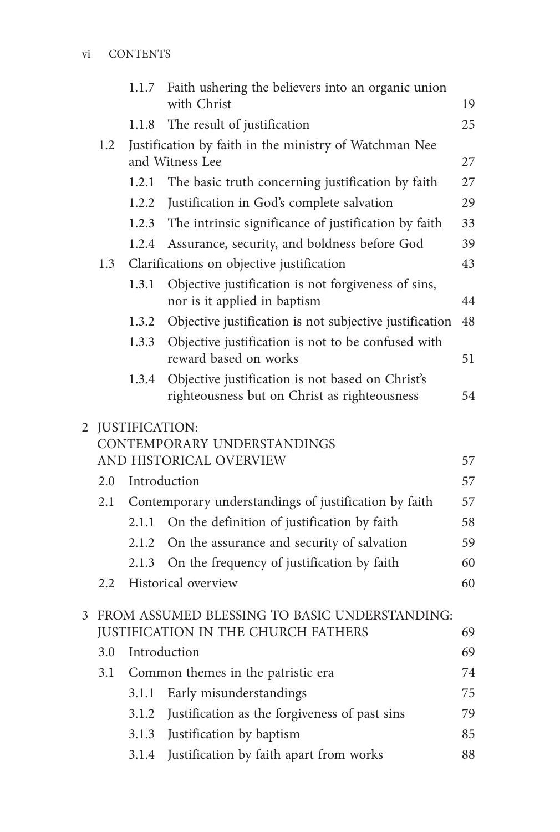|   |         | 1.1.7 | Faith ushering the believers into an organic union<br>with Christ                                | 19 |
|---|---------|-------|--------------------------------------------------------------------------------------------------|----|
|   |         | 1.1.8 | The result of justification                                                                      | 25 |
|   | 1.2     |       | Justification by faith in the ministry of Watchman Nee<br>and Witness Lee                        | 27 |
|   |         | 1.2.1 | The basic truth concerning justification by faith                                                | 27 |
|   |         | 1.2.2 | Justification in God's complete salvation                                                        | 29 |
|   |         | 1.2.3 | The intrinsic significance of justification by faith                                             | 33 |
|   |         | 1.2.4 | Assurance, security, and boldness before God                                                     | 39 |
|   | 1.3     |       | Clarifications on objective justification                                                        | 43 |
|   |         | 1.3.1 | Objective justification is not forgiveness of sins,<br>nor is it applied in baptism              | 44 |
|   |         | 1.3.2 | Objective justification is not subjective justification                                          | 48 |
|   |         | 1.3.3 | Objective justification is not to be confused with<br>reward based on works                      | 51 |
|   |         | 1.3.4 | Objective justification is not based on Christ's<br>righteousness but on Christ as righteousness | 54 |
| 2 |         |       | <b>JUSTIFICATION:</b><br>CONTEMPORARY UNDERSTANDINGS                                             |    |
|   |         |       | AND HISTORICAL OVERVIEW                                                                          | 57 |
|   | 2.0     |       | Introduction                                                                                     | 57 |
|   | 2.1     |       | Contemporary understandings of justification by faith                                            | 57 |
|   |         | 2.1.1 | On the definition of justification by faith                                                      | 58 |
|   |         | 2.1.2 | On the assurance and security of salvation                                                       | 59 |
|   |         | 2.1.3 | On the frequency of justification by faith                                                       | 60 |
|   | $2.2\,$ |       | Historical overview                                                                              | 60 |
| 3 |         |       | FROM ASSUMED BLESSING TO BASIC UNDERSTANDING:<br><b>JUSTIFICATION IN THE CHURCH FATHERS</b>      | 69 |
|   | 3.0     |       | Introduction                                                                                     | 69 |
|   | 3.1     |       | Common themes in the patristic era                                                               | 74 |
|   |         | 3.1.1 | Early misunderstandings                                                                          | 75 |
|   |         | 3.1.2 | Justification as the forgiveness of past sins                                                    | 79 |
|   |         | 3.1.3 | Justification by baptism                                                                         | 85 |
|   |         | 3.1.4 | Justification by faith apart from works                                                          | 88 |
|   |         |       |                                                                                                  |    |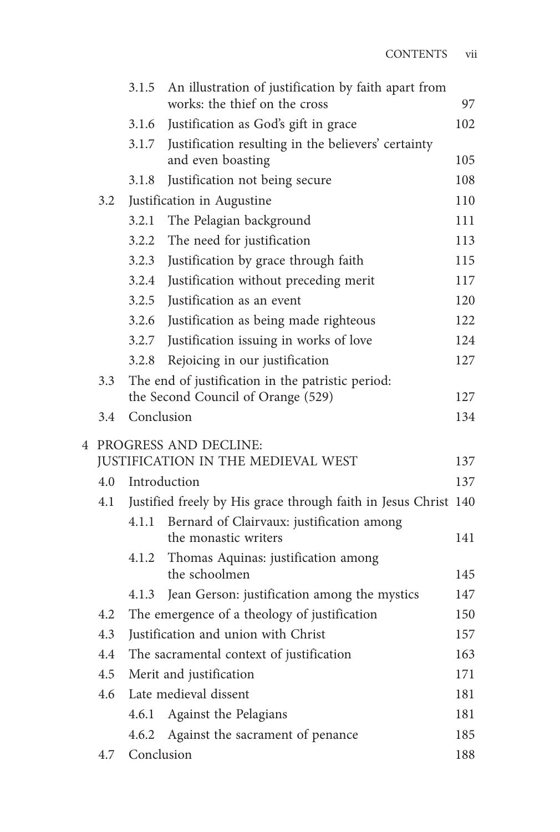|     | 3.1.5                                                           | An illustration of justification by faith apart from<br>works: the thief on the cross        | 97         |
|-----|-----------------------------------------------------------------|----------------------------------------------------------------------------------------------|------------|
|     | 3.1.6                                                           | Justification as God's gift in grace                                                         | 102        |
|     | 3.1.7                                                           | Justification resulting in the believers' certainty<br>and even boasting                     | 105        |
|     | 3.1.8                                                           | Justification not being secure                                                               | 108        |
| 3.2 |                                                                 | Justification in Augustine                                                                   | 110        |
|     | 3.2.1                                                           | The Pelagian background                                                                      | 111        |
|     | 3.2.2                                                           | The need for justification                                                                   | 113        |
|     | 3.2.3                                                           | Justification by grace through faith                                                         | 115        |
|     | 3.2.4                                                           | Justification without preceding merit                                                        | 117        |
|     | 3.2.5                                                           | Justification as an event                                                                    | 120        |
|     | 3.2.6                                                           | Justification as being made righteous                                                        | 122        |
|     | 3.2.7                                                           | Justification issuing in works of love                                                       | 124        |
|     | 3.2.8                                                           | Rejoicing in our justification                                                               | 127        |
| 3.3 |                                                                 | The end of justification in the patristic period:                                            |            |
|     |                                                                 | the Second Council of Orange (529)                                                           | 127        |
| 3.4 | Conclusion                                                      |                                                                                              | 134        |
|     |                                                                 | 4 PROGRESS AND DECLINE:                                                                      |            |
|     |                                                                 | JUSTIFICATION IN THE MEDIEVAL WEST                                                           | 137        |
| 4.0 | Introduction                                                    |                                                                                              | 137        |
| 4.1 | Justified freely by His grace through faith in Jesus Christ 140 |                                                                                              |            |
|     | 4.1.1                                                           | Bernard of Clairvaux: justification among                                                    |            |
|     |                                                                 | the monastic writers                                                                         | 141        |
|     | 4.1.2                                                           | Thomas Aquinas: justification among<br>the schoolmen                                         |            |
|     | 4.1.3                                                           |                                                                                              | 145<br>147 |
| 4.2 |                                                                 | Jean Gerson: justification among the mystics<br>The emergence of a theology of justification | 150        |
| 4.3 |                                                                 | Justification and union with Christ                                                          | 157        |
| 4.4 |                                                                 | The sacramental context of justification                                                     | 163        |
| 4.5 |                                                                 |                                                                                              | 171        |
| 4.6 | Merit and justification<br>Late medieval dissent                |                                                                                              | 181        |
|     | 4.6.1                                                           | Against the Pelagians                                                                        | 181        |
|     | 4.6.2                                                           | Against the sacrament of penance                                                             | 185        |
| 4.7 | Conclusion                                                      |                                                                                              | 188        |
|     |                                                                 |                                                                                              |            |